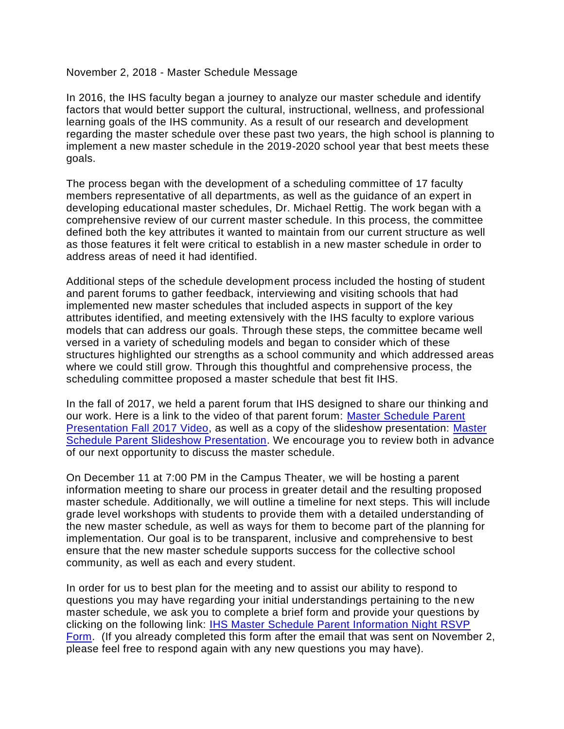November 2, 2018 - Master Schedule Message

In 2016, the IHS faculty began a journey to analyze our master schedule and identify factors that would better support the cultural, instructional, wellness, and professional learning goals of the IHS community. As a result of our research and development regarding the master schedule over these past two years, the high school is planning to implement a new master schedule in the 2019-2020 school year that best meets these goals.

The process began with the development of a scheduling committee of 17 faculty members representative of all departments, as well as the guidance of an expert in developing educational master schedules, Dr. Michael Rettig. The work began with a comprehensive review of our current master schedule. In this process, the committee defined both the key attributes it wanted to maintain from our current structure as well as those features it felt were critical to establish in a new master schedule in order to address areas of need it had identified.

Additional steps of the schedule development process included the hosting of student and parent forums to gather feedback, interviewing and visiting schools that had implemented new master schedules that included aspects in support of the key attributes identified, and meeting extensively with the IHS faculty to explore various models that can address our goals. Through these steps, the committee became well versed in a variety of scheduling models and began to consider which of these structures highlighted our strengths as a school community and which addressed areas where we could still grow. Through this thoughtful and comprehensive process, the scheduling committee proposed a master schedule that best fit IHS.

In the fall of 2017, we held a parent forum that IHS designed to share our thinking and our work. Here is a link to the video of that parent forum: [Master Schedule Parent](https://youtu.be/kOvPHrFxJ04)  [Presentation Fall 2017 Video,](https://youtu.be/kOvPHrFxJ04) as well as a copy of the slideshow presentation: [Master](http://files.constantcontact.com/d60e04bb601/50a16bfa-6368-4f4a-9d8e-b489cc81610c.pdf)  [Schedule Parent Slideshow Presentation.](http://files.constantcontact.com/d60e04bb601/50a16bfa-6368-4f4a-9d8e-b489cc81610c.pdf) We encourage you to review both in advance of our next opportunity to discuss the master schedule.

On December 11 at 7:00 PM in the Campus Theater, we will be hosting a parent information meeting to share our process in greater detail and the resulting proposed master schedule. Additionally, we will outline a timeline for next steps. This will include grade level workshops with students to provide them with a detailed understanding of the new master schedule, as well as ways for them to become part of the planning for implementation. Our goal is to be transparent, inclusive and comprehensive to best ensure that the new master schedule supports success for the collective school community, as well as each and every student.

In order for us to best plan for the meeting and to assist our ability to respond to questions you may have regarding your initial understandings pertaining to the new master schedule, we ask you to complete a brief form and provide your questions by clicking on the following link: IHS Master [Schedule Parent Information Night RSVP](https://docs.google.com/forms/d/e/1FAIpQLSf2hSOifdbC-6Axmf8lNJxijW8UJXkBXFn3NM4Oi3V0Pnl_HQ/viewform)  [Form.](https://docs.google.com/forms/d/e/1FAIpQLSf2hSOifdbC-6Axmf8lNJxijW8UJXkBXFn3NM4Oi3V0Pnl_HQ/viewform) (If you already completed this form after the email that was sent on November 2, please feel free to respond again with any new questions you may have).